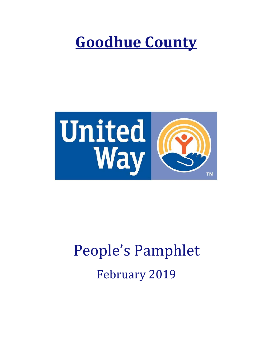# **Goodhue County**



# People's Pamphlet February 2019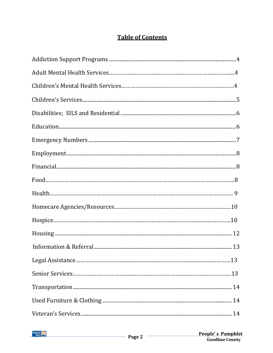## **Table of Contents**

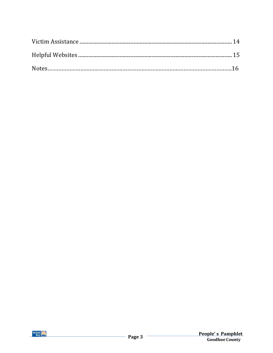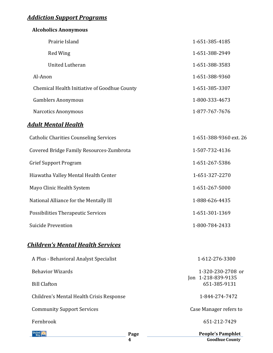# *Addiction Support Programs*

| <b>Alcoholics Anonymous</b>                   |                                    |
|-----------------------------------------------|------------------------------------|
| Prairie Island                                | 1-651-385-4185                     |
| <b>Red Wing</b>                               | 1-651-388-2949                     |
| <b>United Lutheran</b>                        | 1-651-388-3583                     |
| Al-Anon                                       | 1-651-388-9360                     |
| Chemical Health Initiative of Goodhue County  | 1-651-385-3307                     |
| <b>Gamblers Anonymous</b>                     | 1-800-333-4673                     |
| <b>Narcotics Anonymous</b>                    | 1-877-767-7676                     |
| <u>Adult Mental Health</u>                    |                                    |
| <b>Catholic Charities Counseling Services</b> | 1-651-388-9360 ext. 26             |
| Covered Bridge Family Resources-Zumbrota      | 1-507-732-4136                     |
| <b>Grief Support Program</b>                  | 1-651-267-5386                     |
| Hiawatha Valley Mental Health Center          | 1-651-327-2270                     |
| Mayo Clinic Health System                     | 1-651-267-5000                     |
| National Alliance for the Mentally Ill        | 1-888-626-4435                     |
| Possibilities Therapeutic Services            | 1-651-301-1369                     |
| <b>Suicide Prevention</b>                     | 1-800-784-2433                     |
| <u> Children's Mental Health Services</u>     |                                    |
| A Plus - Behavioral Analyst Specialist        | 1-612-276-3300                     |
| <b>Behavior Wizards</b>                       | 1-320-230-2708 or                  |
| <b>Bill Clafton</b>                           | Jon 1-218-839-9135<br>651-385-9131 |
| Children's Mental Health Crisis Response      | 1-844-274-7472                     |
| <b>Community Support Services</b>             | Case Manager refers to             |
| Fernbrook                                     | 651-212-7429                       |



**People's Pamphlet Goodhue County**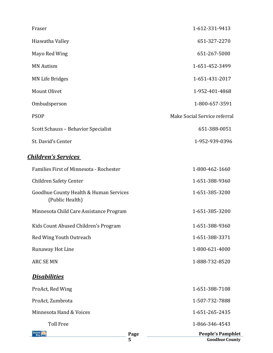| Fraser                              | 1-612-331-9413               |
|-------------------------------------|------------------------------|
| Hiawatha Valley                     | 651-327-2270                 |
| Mayo Red Wing                       | 651-267-5000                 |
| <b>MN Autism</b>                    | 1-651-452-3499               |
| MN Life Bridges                     | 1-651-431-2017               |
| Mount Olivet                        | 1-952-401-4868               |
| Ombudsperson                        | 1-800-657-3591               |
| <b>PSOP</b>                         | Make Social Service referral |
| Scott Schauss - Behavior Specialist | 651-388-0051                 |
| St. David's Center                  | 1-952-939-0396               |

#### *Children's Services*

|                                                           | 5    | <b>Goodhue County</b>    |
|-----------------------------------------------------------|------|--------------------------|
| Jnited<br>Wav                                             | Page | <b>People's Pamphlet</b> |
| <b>Toll Free</b>                                          |      | 1-866-346-4543           |
| Minnesota Hand & Voices                                   |      | 1-651-265-2435           |
| ProAct, Zumbrota                                          |      | 1-507-732-7888           |
| ProAct, Red Wing                                          |      | 1-651-388-7108           |
| <b>Disabilities</b>                                       |      |                          |
| <b>ARC SE MN</b>                                          |      | 1-888-732-8520           |
| Runaway Hot Line                                          |      | 1-800-621-4000           |
| Red Wing Youth Outreach                                   |      | 1-651-388-3371           |
| Kids Count Abused Children's Program                      |      | 1-651-388-9360           |
| Minnesota Child Care Assistance Program                   |      | 1-651-385-3200           |
| Goodhue County Health & Human Services<br>(Public Health) |      | 1-651-385-3200           |
| <b>Children Safety Center</b>                             |      | 1-651-388-9360           |
| Families First of Minnesota - Rochester                   |      | 1-800-462-1660           |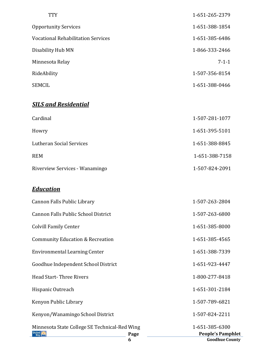| <b>TTY</b>                         | 1-651-265-2379 |
|------------------------------------|----------------|
| <b>Opportunity Services</b>        | 1-651-388-1854 |
| Vocational Rehabilitation Services | 1-651-385-6486 |
| Disability Hub MN                  | 1-866-333-2466 |
| Minnesota Relay                    | $7 - 1 - 1$    |
| RideAbility                        | 1-507-356-8154 |
| SEMCIL                             | 1-651-388-0466 |
|                                    |                |

# *SILS and Residential*

| Cardinal                       | 1-507-281-1077 |
|--------------------------------|----------------|
| Howry                          | 1-651-395-5101 |
| Lutheran Social Services       | 1-651-388-8845 |
| <b>REM</b>                     | 1-651-388-7158 |
| Riverview Services - Wanamingo | 1-507-824-2091 |

#### *Education*

|                                               | 6    | <b>Goodhue County</b>    |
|-----------------------------------------------|------|--------------------------|
| United                                        | Page | <b>People's Pamphlet</b> |
| Minnesota State College SE Technical-Red Wing |      | 1-651-385-6300           |
| Kenyon/Wanamingo School District              |      | 1-507-824-2211           |
| Kenyon Public Library                         |      | 1-507-789-6821           |
| Hispanic Outreach                             |      | 1-651-301-2184           |
| <b>Head Start-Three Rivers</b>                |      | 1-800-277-8418           |
| Goodhue Independent School District           |      | 1-651-923-4447           |
| <b>Environmental Learning Center</b>          |      | 1-651-388-7339           |
| <b>Community Education &amp; Recreation</b>   |      | 1-651-385-4565           |
| <b>Colvill Family Center</b>                  |      | 1-651-385-8000           |
| Cannon Falls Public School District           |      | 1-507-263-6800           |
| Cannon Falls Public Library                   |      | 1-507-263-2804           |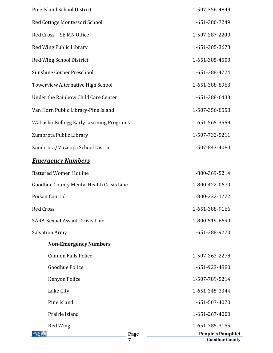| <b>United</b><br>Way                     | Page<br>7 | <b>People's Pamphlet</b><br><b>Goodhue County</b> |
|------------------------------------------|-----------|---------------------------------------------------|
| Red Wing                                 |           | 1-651-385-3155                                    |
| Prairie Island                           |           | 1-651-267-4000                                    |
| Pine Island                              |           | 1-651-507-4070                                    |
| Lake City                                |           | 1-651-345-3344                                    |
| Kenyon Police                            |           | 1-507-789-5214                                    |
| Goodhue Police                           |           | 1-651-923-4880                                    |
| <b>Cannon Falls Police</b>               |           | 1-507-263-2278                                    |
| <b>Non-Emergency Numbers</b>             |           |                                                   |
| <b>Salvation Army</b>                    |           | 1-651-388-9270                                    |
| <b>SARA-Sexual Assault Crisis Line</b>   |           | 1-800-519-6690                                    |
| <b>Red Cross</b>                         |           | 1-651-388-9166                                    |
| Poison Control                           |           | 1-800-222-1222                                    |
| Goodhue County Mental Health Crisis Line |           | 1-800-422-0670                                    |
| <b>Battered Women Hotline</b>            |           | 1-800-369-5214                                    |
| <b>Emergency Numbers</b>                 |           |                                                   |
| Zumbrota/Mazeppa School District         |           | 1-507-843-4080                                    |
| Zumbrota Public Library                  |           | 1-507-732-5211                                    |
| Wabasha-Kellogg Early Learning Programs  |           | 1-651-565-3559                                    |
| Van Horn Public Library-Pine Island      |           | 1-507-356-8558                                    |
| Under the Rainbow Child Care Center      |           | 1-651-388-6433                                    |
| Towerview Alternative High School        |           | 1-651-388-8963                                    |
| <b>Sunshine Corner Preschool</b>         |           | 1-651-388-4724                                    |
| Red Wing School District                 |           | 1-651-385-4500                                    |
| Red Wing Public Library                  |           | 1-651-385-3673                                    |
| Red Cross - SE MN Office                 |           | 1-507-287-2200                                    |
| Red Cottage Montessori School            |           | 1-651-380-7249                                    |
| Pine Island School District              |           | 1-507-356-4849                                    |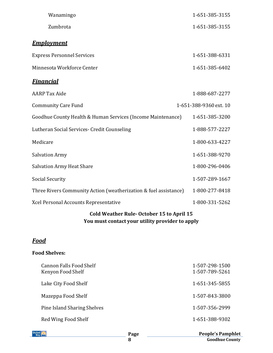| Wanamingo                                                        | 1-651-385-3155         |
|------------------------------------------------------------------|------------------------|
| Zumbrota                                                         | 1-651-385-3155         |
| <b>Employment</b>                                                |                        |
| <b>Express Personnel Services</b>                                | 1-651-388-6331         |
| Minnesota Workforce Center                                       | 1-651-385-6402         |
| <b>Financial</b>                                                 |                        |
| <b>AARP</b> Tax Aide                                             | 1-888-687-2277         |
| <b>Community Care Fund</b>                                       | 1-651-388-9360 ext. 10 |
| Goodhue County Health & Human Services (Income Maintenance)      | 1-651-385-3200         |
| Lutheran Social Services- Credit Counseling                      | 1-888-577-2227         |
| Medicare                                                         | 1-800-633-4227         |
| <b>Salvation Army</b>                                            | 1-651-388-9270         |
| <b>Salvation Army Heat Share</b>                                 | 1-800-296-0406         |
| <b>Social Security</b>                                           | 1-507-289-1667         |
| Three Rivers Community Action (weatherization & fuel assistance) | 1-800-277-8418         |
| Xcel Personal Accounts Representative                            | 1-800-331-5262         |

#### **Cold Weather Rule- October 15 to April 15 You must contact your utility provider to apply**

#### *Food*

#### **Food Shelves:**

| <b>Cannon Falls Food Shelf</b><br>Kenyon Food Shelf | 1-507-298-1500<br>1-507-789-5261 |
|-----------------------------------------------------|----------------------------------|
| Lake City Food Shelf                                | 1-651-345-5855                   |
| Mazeppa Food Shelf                                  | 1-507-843-3800                   |
| Pine Island Sharing Shelves                         | 1-507-356-2999                   |
| Red Wing Food Shelf                                 | 1-651-388-9302                   |

| United |  |
|--------|--|
| Way    |  |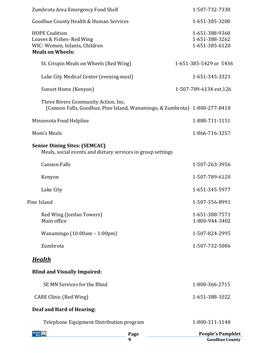| United                                                                                                       | Page<br>9                                                                  | <b>People's Pamphlet</b><br><b>Goodhue County</b>  |
|--------------------------------------------------------------------------------------------------------------|----------------------------------------------------------------------------|----------------------------------------------------|
|                                                                                                              | Telephone Equipment Distribution program                                   | 1-800-311-1148                                     |
| Deaf and Hard of Hearing:                                                                                    |                                                                            |                                                    |
| <b>CARE Clinic (Red Wing)</b>                                                                                |                                                                            | 1-651-388-1022                                     |
| SE MN Services for the Blind                                                                                 |                                                                            | 1-800-366-2715                                     |
| <b>Blind and Visually Impaired:</b>                                                                          |                                                                            |                                                    |
| <u>Health</u>                                                                                                |                                                                            |                                                    |
| Zumbrota                                                                                                     |                                                                            | 1-507-732-5086                                     |
| Wanamingo $(10:00am - 1:00pm)$                                                                               |                                                                            | 1-507-824-2995                                     |
| Red Wing (Jordan Towers)<br>Main office                                                                      |                                                                            | 1-651-388-7571<br>1-800-944-3402                   |
| Pine Island                                                                                                  |                                                                            | 1-507-356-8991                                     |
| Lake City                                                                                                    |                                                                            | 1-651-345-5977                                     |
| Kenyon                                                                                                       |                                                                            | 1-507-789-6120                                     |
| <b>Cannon Falls</b>                                                                                          |                                                                            | 1-507-263-3956                                     |
| <b>Senior Dining Sites: (SEMCAC)</b>                                                                         | Meals, social events and dietary services in group settings                |                                                    |
| Mom's Meals                                                                                                  |                                                                            | 1-866-716-3257                                     |
| Minnesota Food Helpline                                                                                      |                                                                            | 1-888-711-1151                                     |
| Three Rivers Community Action, Inc.                                                                          | (Cannon Falls, Goodhue, Pine Island, Wanamingo, & Zumbrota) 1-800-277-8418 |                                                    |
| Sunset Home (Kenyon)                                                                                         |                                                                            | 1-507-789-6134 ext.126                             |
|                                                                                                              | Lake City Medical Center (evening meal)                                    | 1-651-345-3321                                     |
| St. Crispin Meals on Wheels (Red Wing)                                                                       |                                                                            | 1-651-385-5429 or 5436                             |
| <b>HOPE Coalition</b><br>Loaves & Fishes-Red Wing<br>WIC-Women, Infants, Children<br><b>Meals on Wheels:</b> |                                                                            | 1-651-388-9360<br>1-651-388-3262<br>1-651-385-6120 |
| Goodhue County Health & Human Services                                                                       |                                                                            | 1-651-385-3200                                     |
| Zumbrota Area Emergency Food Shelf                                                                           |                                                                            | 1-507-732-7330                                     |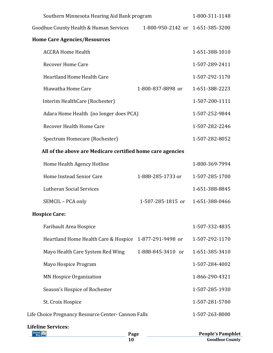| Southern Minnesota Hearing Aid Bank program                                |                   | 1-800-311-1148        |
|----------------------------------------------------------------------------|-------------------|-----------------------|
| 1-800-950-2142 or 1-651-385-3200<br>Goodhue County Health & Human Services |                   |                       |
| <b>Home Care Agencies/Resources</b>                                        |                   |                       |
| <b>ACCRA Home Health</b>                                                   |                   | 1-651-388-1010        |
| <b>Recover Home Care</b>                                                   |                   | 1-507-289-2411        |
| <b>Heartland Home Health Care</b>                                          |                   | 1-507-292-1170        |
| Hiawatha Home Care                                                         | 1-800-837-8898 or | 1-651-388-2223        |
| Interim HealthCare (Rochester)                                             |                   | 1-507-200-1111        |
| Adara Home Health (no longer does PCA)                                     |                   | 1-507-252-9844        |
| Recover Health Home Care                                                   |                   | 1-507-282-2246        |
| Spectrum Homecare (Rochester)                                              |                   | 1-507-282-8052        |
| All of the above are Medicare certified home care agencies                 |                   |                       |
| Home Health Agency Hotline                                                 |                   | 1-800-369-7994        |
| Home Instead Senior Care                                                   | 1-888-285-1733 or | 1-507-285-1700        |
| Lutheran Social Services                                                   |                   | 1-651-388-8845        |
| SEMCIL - PCA only                                                          | 1-507-285-1815 or | 1-651-388-0466        |
| <b>Hospice Care:</b>                                                       |                   |                       |
| Faribault Area Hospice                                                     |                   | 1-507-332-4835        |
| Heartland Home Health Care & Hospice                                       | 1-877-291-9498 or | 1-507-292-1170        |
| Mayo Health Care System Red Wing                                           | 1-888-845-3410 or | 1-651-385-3410        |
| Mayo Hospice Program                                                       |                   | 1-507-284-4002        |
| <b>MN Hospice Organization</b>                                             |                   | 1-866-290-4321        |
| Season's Hospice of Rochester                                              |                   | 1-507-285-1930        |
| St. Croix Hospice                                                          |                   | 1-507-281-5700        |
| Life Choice Pregnancy Resource Center- Cannon Falls                        |                   | 1-507-263-8000        |
| <b>Lifeline Services:</b><br>Page                                          |                   | <b>People's Pampl</b> |

| Page | <b>People's Pamphlet</b> |
|------|--------------------------|
|      | <b>Goodhue County</b>    |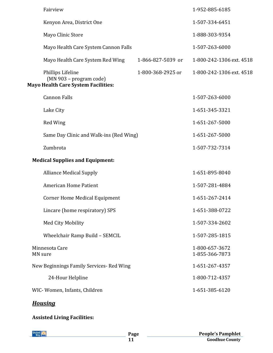| Fairview                                                                                   |                   | 1-952-885-6185                   |
|--------------------------------------------------------------------------------------------|-------------------|----------------------------------|
| Kenyon Area, District One                                                                  |                   | 1-507-334-6451                   |
| Mayo Clinic Store                                                                          |                   | 1-888-303-9354                   |
| Mayo Health Care System Cannon Falls                                                       |                   | 1-507-263-6000                   |
| Mayo Health Care System Red Wing                                                           | 1-866-827-5039 or | 1-800-242-1306 ext. 4518         |
| Phillips Lifeline<br>(MN 903 - program code)<br><b>Mayo Health Care System Facilities:</b> | 1-800-368-2925 or | 1-800-242-1306 ext. 4518         |
| <b>Cannon Falls</b>                                                                        |                   | 1-507-263-6000                   |
| Lake City                                                                                  |                   | 1-651-345-3321                   |
| Red Wing                                                                                   |                   | 1-651-267-5000                   |
| Same Day Clinic and Walk-ins (Red Wing)                                                    |                   | 1-651-267-5000                   |
| Zumbrota                                                                                   |                   | 1-507-732-7314                   |
| <b>Medical Supplies and Equipment:</b>                                                     |                   |                                  |
| <b>Alliance Medical Supply</b>                                                             |                   | 1-651-895-8040                   |
| <b>American Home Patient</b>                                                               |                   | 1-507-281-4884                   |
| <b>Corner Home Medical Equipment</b>                                                       |                   | 1-651-267-2414                   |
| Lincare (home respiratory) SPS                                                             |                   | 1-651-388-0722                   |
| Med City Mobility                                                                          |                   | 1-507-334-2602                   |
| Wheelchair Ramp Build - SEMCIL                                                             |                   | 1-507-285-1815                   |
| Minnesota Care<br>MN sure                                                                  |                   | 1-800-657-3672<br>1-855-366-7873 |
| New Beginnings Family Services-Red Wing                                                    |                   | 1-651-267-4357                   |
| 24-Hour Helpline                                                                           |                   | 1-800-712-4357                   |
| WIC-Women, Infants, Children                                                               |                   | 1-651-385-6120                   |
|                                                                                            |                   |                                  |

# *Housing*

# **Assisted Living Facilities:**

| United<br>Way | Page | <b>People's Pamphlet</b> |
|---------------|------|--------------------------|
|               |      | <b>Goodhue County</b>    |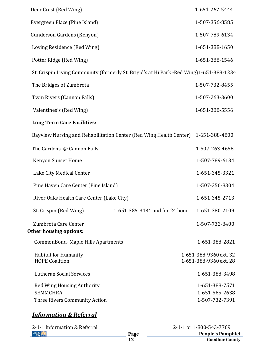| Deer Crest (Red Wing)                                                                    |                                | 1-651-267-5444                                   |
|------------------------------------------------------------------------------------------|--------------------------------|--------------------------------------------------|
| Evergreen Place (Pine Island)                                                            |                                | 1-507-356-8585                                   |
| Gunderson Gardens (Kenyon)                                                               |                                | 1-507-789-6134                                   |
| Loving Residence (Red Wing)                                                              |                                | 1-651-388-1650                                   |
| Potter Ridge (Red Wing)                                                                  |                                | 1-651-388-1546                                   |
| St. Crispin Living Community (formerly St. Brigid's at Hi Park - Red Wing)1-651-388-1234 |                                |                                                  |
| The Bridges of Zumbrota                                                                  |                                | 1-507-732-8455                                   |
| Twin Rivers (Cannon Falls)                                                               |                                | 1-507-263-3600                                   |
| Valentines's (Red Wing)                                                                  |                                | 1-651-388-5556                                   |
| <b>Long Term Care Facilities:</b>                                                        |                                |                                                  |
| Bayview Nursing and Rehabilitation Center (Red Wing Health Center)                       |                                | 1-651-388-4800                                   |
| The Gardens @ Cannon Falls                                                               |                                | 1-507-263-4658                                   |
| Kenyon Sunset Home                                                                       |                                | 1-507-789-6134                                   |
| Lake City Medical Center                                                                 |                                | 1-651-345-3321                                   |
| Pine Haven Care Center (Pine Island)                                                     |                                | 1-507-356-8304                                   |
| River Oaks Health Care Center (Lake City)                                                |                                | 1-651-345-2713                                   |
| St. Crispin (Red Wing)                                                                   | 1-651-385-3434 and for 24 hour | 1-651-380-2109                                   |
| Zumbrota Care Center<br><b>Other housing options:</b>                                    |                                | 1-507-732-8400                                   |
| CommonBond-Maple Hills Apartments                                                        |                                | 1-651-388-2821                                   |
| <b>Habitat for Humanity</b><br><b>HOPE Coalition</b>                                     |                                | 1-651-388-9360 ext. 32<br>1-651-388-9360 ext. 28 |
| Lutheran Social Services                                                                 |                                | 1-651-388-3498                                   |
| <b>Red Wing Housing Authority</b><br><b>SEMMCHRA</b>                                     |                                | 1-651-388-7571<br>1-651-565-2638                 |
| Three Rivers Community Action                                                            |                                | 1-507-732-7391                                   |
|                                                                                          |                                |                                                  |

#### *Information & Referral*

| Page |
|------|
|      |

**People's Pamphlet** 2-1-1 or 1-800-543-7709

**Goodhue County**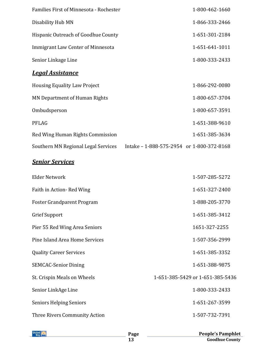| <b>Families First of Minnesota - Rochester</b> | 1-800-462-1660                            |
|------------------------------------------------|-------------------------------------------|
| Disability Hub MN                              | 1-866-333-2466                            |
| Hispanic Outreach of Goodhue County            | 1-651-301-2184                            |
| Immigrant Law Center of Minnesota              | 1-651-641-1011                            |
| Senior Linkage Line                            | 1-800-333-2433                            |
| <u>Legal Assistance</u>                        |                                           |
| <b>Housing Equality Law Project</b>            | 1-866-292-0080                            |
| <b>MN Department of Human Rights</b>           | 1-800-657-3704                            |
| Ombudsperson                                   | 1-800-657-3591                            |
| <b>PFLAG</b>                                   | 1-651-388-9610                            |
| Red Wing Human Rights Commission               | 1-651-385-3634                            |
| Southern MN Regional Legal Services            | Intake - 1-888-575-2954 or 1-800-372-8168 |

# *Senior Services*

| Elder Network                     | 1-507-285-5272                   |
|-----------------------------------|----------------------------------|
| Faith in Action-Red Wing          | 1-651-327-2400                   |
| <b>Foster Grandparent Program</b> | 1-888-205-3770                   |
| <b>Grief Support</b>              | 1-651-385-3412                   |
| Pier 55 Red Wing Area Seniors     | 1651-327-2255                    |
| Pine Island Area Home Services    | 1-507-356-2999                   |
| <b>Quality Career Services</b>    | 1-651-385-3352                   |
| <b>SEMCAC-Senior Dining</b>       | 1-651-388-9875                   |
| St. Crispin Meals on Wheels       | 1-651-385-5429 or 1-651-385-5436 |
| Senior LinkAge Line               | 1-800-333-2433                   |
| <b>Seniors Helping Seniors</b>    | 1-651-267-3599                   |
| Three Rivers Community Action     | 1-507-732-7391                   |
|                                   |                                  |

| l Inited |  |
|----------|--|
|----------|--|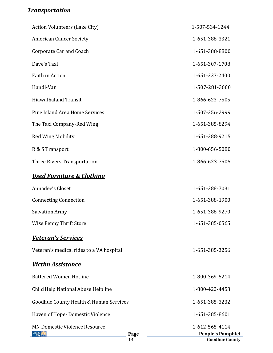## *Transportation*

|                                                       | Page<br>14 | <b>Goodhue County</b>                      |  |
|-------------------------------------------------------|------------|--------------------------------------------|--|
| <b>MN Domestic Violence Resource</b><br>United<br>Way |            | 1-612-565-4114<br><b>People's Pamphlet</b> |  |
| Haven of Hope-Domestic Violence                       |            | 1-651-385-8601                             |  |
| Goodhue County Health & Human Services                |            | 1-651-385-3232                             |  |
| Child Help National Abuse Helpline                    |            | 1-800-422-4453                             |  |
| <b>Battered Women Hotline</b>                         |            | 1-800-369-5214                             |  |
| <b>Victim Assistance</b>                              |            |                                            |  |
| Veteran's medical rides to a VA hospital              |            | 1-651-385-3256                             |  |
| <b>Veteran's Services</b>                             |            |                                            |  |
| Wise Penny Thrift Store                               |            | 1-651-385-0565                             |  |
| <b>Salvation Army</b>                                 |            | 1-651-388-9270                             |  |
| <b>Connecting Connection</b>                          |            | 1-651-388-1900                             |  |
| Annadee's Closet                                      |            | 1-651-388-7031                             |  |
| <b>Used Furniture &amp; Clothing</b>                  |            |                                            |  |
| Three Rivers Transportation                           |            | 1-866-623-7505                             |  |
| R & S Transport                                       |            | 1-800-656-5080                             |  |
| <b>Red Wing Mobility</b>                              |            | 1-651-388-9215                             |  |
| The Taxi Company-Red Wing                             |            | 1-651-385-8294                             |  |
| Pine Island Area Home Services                        |            | 1-507-356-2999                             |  |
| <b>Hiawathaland Transit</b>                           |            | 1-866-623-7505                             |  |
| Handi-Van                                             |            | 1-507-281-3600                             |  |
| Faith in Action                                       |            | 1-651-327-2400                             |  |
| Dave's Taxi                                           |            | 1-651-307-1708                             |  |
| <b>Corporate Car and Coach</b>                        |            | 1-651-388-8800                             |  |
| <b>American Cancer Society</b>                        |            | 1-651-388-3321                             |  |
| <b>Action Volunteers (Lake City)</b>                  |            | 1-507-534-1244                             |  |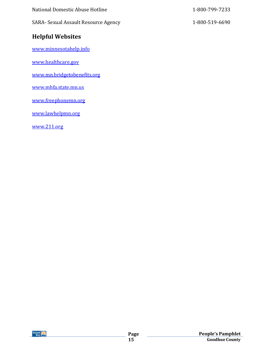| National Domestic Abuse Hotline      | 1-800-799-7233 |
|--------------------------------------|----------------|
| SARA- Sexual Assault Resource Agency | 1-800-519-6690 |

# **Helpful Websites**

[www.minnesotahelp.info](http://www.minnesotahelp.info/)

[www.healthcare.gov](http://www.healthcare.gov/)

[www.mn.bridgetobenefits.org](http://www.mn.bridgetobenefits.org/)

[www.mhfa.state.mn.us](http://www.mhfa.state.mn.us/)

[www.freephonemn.org](http://www.freephonemn.org/)

[www.lawhelpmn.org](http://www.lawhelpmn.org/)

[www.211.org](http://www.211.org/)